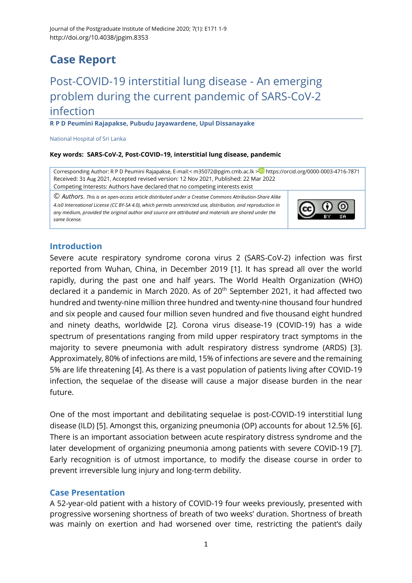## **Case Report**

# Post-COVID-19 interstitial lung disease - An emerging problem during the current pandemic of SARS-CoV-2 infection

**R P D Peumini Rajapakse, Pubudu Jayawardene, Upul Dissanayake**

National Hospital of Sri Lanka

#### **Key words: SARS-CoV-2, Post-COVID–19, interstitial lung disease, pandemic**

Corresponding Author: R P D Peumini Rajapakse, E-mail:< [m35072@pgim.cmb.ac.lk](mailto:m35072@pgim.cmb.ac.lk) > <https://orcid.org/0000-0003-4716-7871> Received: 31 Aug 2021, Accepted revised version: 12 Nov 2021, Published: 22 Mar 2022 Competing Interests: Authors have declared that no competing interests exist

© *Authors*. *This is an open-access article distributed under a [Creative Commons Attribution-Share Alike](http://creativecommons.org/licenses/by-sa/4.0/)  [4.is0 International License](http://creativecommons.org/licenses/by-sa/4.0/) (CC BY-SA 4.0), which permits unrestricted use, distribution, and reproduction in any medium, provided the original author and source are attributed and materials are shared under the same license.* 



#### **Introduction**

Severe acute respiratory syndrome corona virus 2 (SARS-CoV-2) infection was first reported from Wuhan, China, in December 2019 [\[1\]](#page-5-0). It has spread all over the world rapidly, during the past one and half years. The World Health Organization (WHO) declared it a pandemic in March 2020. As of 20<sup>th</sup> September 2021, it had affected two hundred and twenty-nine million three hundred and twenty-nine thousand four hundred and six people and caused four million seven hundred and five thousand eight hundred and ninety deaths, worldwide [\[2\]](#page-5-1). Corona virus disease-19 (COVID-19) has a wide spectrum of presentations ranging from mild upper respiratory tract symptoms in the majority to severe pneumonia with adult respiratory distress syndrome (ARDS) [\[3\]](#page-5-2). Approximately, 80% of infections are mild, 15% of infections are severe and the remaining 5% are life threatening [\[4\]](#page-5-3). As there is a vast population of patients living after COVID-19 infection, the sequelae of the disease will cause a major disease burden in the near future.

One of the most important and debilitating sequelae is post-COVID-19 interstitial lung disease (ILD) [\[5\]](#page-5-4). Amongst this, organizing pneumonia (OP) accounts for about 12.5% [\[6\]](#page-5-5). There is an important association between acute respiratory distress syndrome and the later development of organizing pneumonia among patients with severe COVID-19 [\[7\]](#page-5-6). Early recognition is of utmost importance, to modify the disease course in order to prevent irreversible lung injury and long-term debility.

### **Case Presentation**

A 52-year-old patient with a history of COVID-19 four weeks previously, presented with progressive worsening shortness of breath of two weeks' duration. Shortness of breath was mainly on exertion and had worsened over time, restricting the patient's daily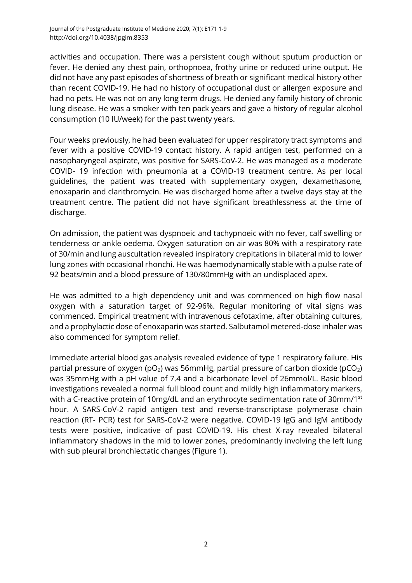activities and occupation. There was a persistent cough without sputum production or fever. He denied any chest pain, orthopnoea, frothy urine or reduced urine output. He did not have any past episodes of shortness of breath or significant medical history other than recent COVID-19. He had no history of occupational dust or allergen exposure and had no pets. He was not on any long term drugs. He denied any family history of chronic lung disease. He was a smoker with ten pack years and gave a history of regular alcohol consumption (10 IU/week) for the past twenty years.

Four weeks previously, he had been evaluated for upper respiratory tract symptoms and fever with a positive COVID-19 contact history. A rapid antigen test, performed on a nasopharyngeal aspirate, was positive for SARS-CoV-2. He was managed as a moderate COVID- 19 infection with pneumonia at a COVID-19 treatment centre. As per local guidelines, the patient was treated with supplementary oxygen, dexamethasone, enoxaparin and clarithromycin. He was discharged home after a twelve days stay at the treatment centre. The patient did not have significant breathlessness at the time of discharge.

On admission, the patient was dyspnoeic and tachypnoeic with no fever, calf swelling or tenderness or ankle oedema. Oxygen saturation on air was 80% with a respiratory rate of 30/min and lung auscultation revealed inspiratory crepitations in bilateral mid to lower lung zones with occasional rhonchi. He was haemodynamically stable with a pulse rate of 92 beats/min and a blood pressure of 130/80mmHg with an undisplaced apex.

He was admitted to a high dependency unit and was commenced on high flow nasal oxygen with a saturation target of 92-96%. Regular monitoring of vital signs was commenced. Empirical treatment with intravenous cefotaxime, after obtaining cultures, and a prophylactic dose of enoxaparin was started. Salbutamol metered-dose inhaler was also commenced for symptom relief.

Immediate arterial blood gas analysis revealed evidence of type 1 respiratory failure. His partial pressure of oxygen ( $pO<sub>2</sub>$ ) was 56mmHg, partial pressure of carbon dioxide ( $pCO<sub>2</sub>$ ) was 35mmHg with a pH value of 7.4 and a bicarbonate level of 26mmol/L. Basic blood investigations revealed a normal full blood count and mildly high inflammatory markers, with a C-reactive protein of 10mg/dL and an erythrocyte sedimentation rate of 30mm/1<sup>st</sup> hour. A SARS-CoV-2 rapid antigen test and reverse-transcriptase polymerase chain reaction (RT- PCR) test for SARS-CoV-2 were negative. COVID-19 IgG and IgM antibody tests were positive, indicative of past COVID-19. His chest X-ray revealed bilateral inflammatory shadows in the mid to lower zones, predominantly involving the left lung with sub pleural bronchiectatic changes (Figure 1).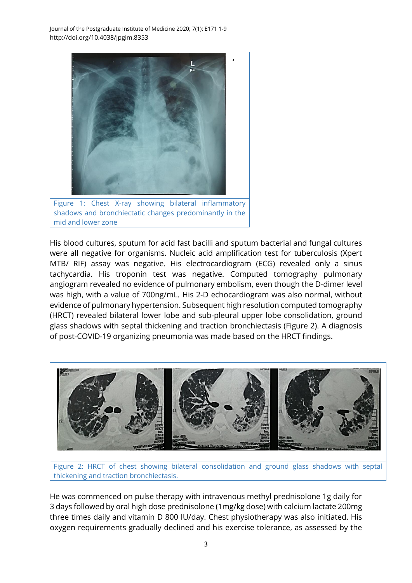Journal of the Postgraduate Institute of Medicine 2020; 7(1): E171 1-9 http://doi.org/10.4038/jpgim.8353



shadows and bronchiectatic changes predominantly in the mid and lower zone

His blood cultures, sputum for acid fast bacilli and sputum bacterial and fungal cultures were all negative for organisms. Nucleic acid amplification test for tuberculosis (Xpert MTB/ RIF) assay was negative. His electrocardiogram (ECG) revealed only a sinus tachycardia. His troponin test was negative. Computed tomography pulmonary angiogram revealed no evidence of pulmonary embolism, even though the D-dimer level was high, with a value of 700ng/mL. His 2-D echocardiogram was also normal, without evidence of pulmonary hypertension. Subsequent high resolution computed tomography (HRCT) revealed bilateral lower lobe and sub-pleural upper lobe consolidation, ground glass shadows with septal thickening and traction bronchiectasis (Figure 2). A diagnosis of post-COVID-19 organizing pneumonia was made based on the HRCT findings.



Figure 2: HRCT of chest showing bilateral consolidation and ground glass shadows with septal thickening and traction bronchiectasis.

He was commenced on pulse therapy with intravenous methyl prednisolone 1g daily for 3 days followed by oral high dose prednisolone (1mg/kg dose) with calcium lactate 200mg three times daily and vitamin D 800 IU/day. Chest physiotherapy was also initiated. His oxygen requirements gradually declined and his exercise tolerance, as assessed by the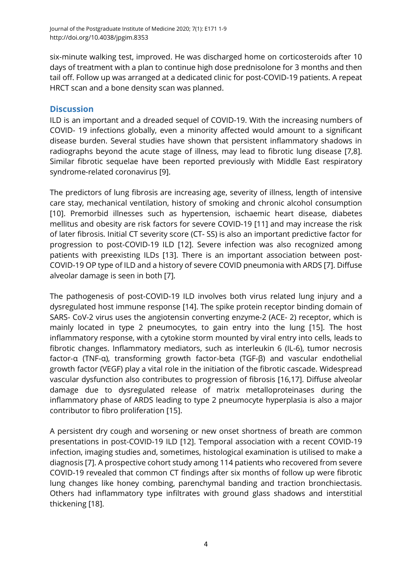six-minute walking test, improved. He was discharged home on corticosteroids after 10 days of treatment with a plan to continue high dose prednisolone for 3 months and then tail off. Follow up was arranged at a dedicated clinic for post-COVID-19 patients. A repeat HRCT scan and a bone density scan was planned.

### **Discussion**

ILD is an important and a dreaded sequel of COVID-19. With the increasing numbers of COVID- 19 infections globally, even a minority affected would amount to a significant disease burden. Several studies have shown that persistent inflammatory shadows in radiographs beyond the acute stage of illness, may lead to fibrotic lung disease [\[7](#page-5-6)[,8\]](#page-6-0). Similar fibrotic sequelae have been reported previously with Middle East respiratory syndrome-related coronavirus [\[9\]](#page-6-1).

The predictors of lung fibrosis are increasing age, severity of illness, length of intensive care stay, mechanical ventilation, history of smoking and chronic alcohol consumption [\[10\]](#page-6-2). Premorbid illnesses such as hypertension, ischaemic heart disease, diabetes mellitus and obesity are risk factors for severe COVID-19 [\[11\]](#page-6-3) and may increase the risk of later fibrosis. Initial CT severity score (CT- SS) is also an important predictive factor for progression to post-COVID-19 ILD [\[12\]](#page-6-4). Severe infection was also recognized among patients with preexisting ILDs [\[13\]](#page-6-5). There is an important association between post-COVID-19 OP type of ILD and a history of severe COVID pneumonia with ARDS [\[7\]](#page-5-6). Diffuse alveolar damage is seen in both [\[7\]](#page-5-6).

The pathogenesis of post-COVID-19 ILD involves both virus related lung injury and a dysregulated host immune response [\[14\]](#page-6-6). The spike protein receptor binding domain of SARS- CoV-2 virus uses the angiotensin converting enzyme-2 (ACE- 2) receptor, which is mainly located in type 2 pneumocytes, to gain entry into the lung [\[15\]](#page-6-7). The host inflammatory response, with a cytokine storm mounted by viral entry into cells, leads to fibrotic changes. Inflammatory mediators, such as interleukin 6 (IL-6), tumor necrosis factor-α (TNF-α), transforming growth factor-beta (TGF-β) and vascular endothelial growth factor (VEGF) play a vital role in the initiation of the fibrotic cascade. Widespread vascular dysfunction also contributes to progression of fibrosis [\[16](#page-6-8)[,17\]](#page-6-9). Diffuse alveolar damage due to dysregulated release of matrix metalloproteinases during the inflammatory phase of ARDS leading to type 2 pneumocyte hyperplasia is also a major contributor to fibro proliferation [\[15\]](#page-6-7).

A persistent dry cough and worsening or new onset shortness of breath are common presentations in post-COVID-19 ILD [\[12\]](#page-6-4). Temporal association with a recent COVID-19 infection, imaging studies and, sometimes, histological examination is utilised to make a diagnosis [\[7\]](#page-5-6). A prospective cohort study among 114 patients who recovered from severe COVID-19 revealed that common CT findings after six months of follow up were fibrotic lung changes like honey combing, parenchymal banding and traction bronchiectasis. Others had inflammatory type infiltrates with ground glass shadows and interstitial thickening [\[18\]](#page-6-10).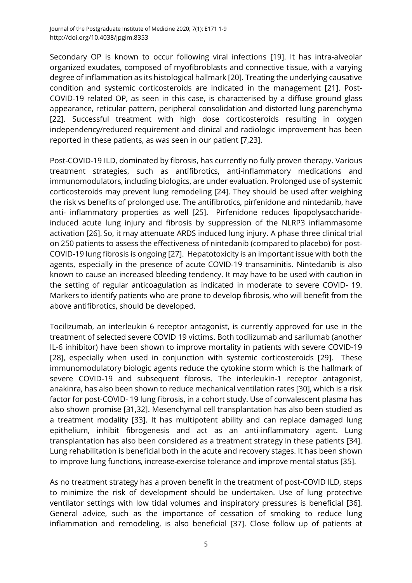Secondary OP is known to occur following viral infections [\[19\]](#page-6-11). It has intra-alveolar organized exudates, composed of myofibroblasts and connective tissue, with a varying degree of inflammation as its histological hallmark [\[20\]](#page-6-12). Treating the underlying causative condition and systemic corticosteroids are indicated in the management [\[21\]](#page-7-0). Post-COVID-19 related OP, as seen in this case, is characterised by a diffuse ground glass appearance, reticular pattern, peripheral consolidation and distorted lung parenchyma [\[22\]](#page-7-1). Successful treatment with high dose corticosteroids resulting in oxygen independency/reduced requirement and clinical and radiologic improvement has been reported in these patients, as was seen in our patient [\[7](#page-5-6)[,23\]](#page-7-2).

Post-COVID-19 ILD, dominated by fibrosis, has currently no fully proven therapy. Various treatment strategies, such as antifibrotics, anti-inflammatory medications and immunomodulators, including biologics, are under evaluation. Prolonged use of systemic corticosteroids may prevent lung remodeling [\[24\]](#page-7-3). They should be used after weighing the risk vs benefits of prolonged use. The antifibrotics, pirfenidone and nintedanib, have anti- inflammatory properties as well [\[25\]](#page-7-4). Pirfenidone reduces lipopolysaccharideinduced acute lung injury and fibrosis by suppression of the NLRP3 inflammasome activation [\[26\]](#page-7-5). So, it may attenuate ARDS induced lung injury. A phase three clinical trial on 250 patients to assess the effectiveness of nintedanib (compared to placebo) for post-COVID-19 lung fibrosis is ongoing [\[27\]](#page-7-6). Hepatotoxicity is an important issue with both the agents, especially in the presence of acute COVID-19 transaminitis. Nintedanib is also known to cause an increased bleeding tendency. It may have to be used with caution in the setting of regular anticoagulation as indicated in moderate to severe COVID- 19. Markers to identify patients who are prone to develop fibrosis, who will benefit from the above antifibrotics, should be developed.

Tocilizumab, an interleukin 6 receptor antagonist, is currently approved for use in the treatment of selected severe COVID 19 victims. Both tocilizumab and sarilumab (another IL-6 inhibitor) have been shown to improve mortality in patients with severe COVID-19 [\[28\]](#page-7-7), especially when used in conjunction with systemic corticosteroids [\[29\]](#page-7-8). These immunomodulatory biologic agents reduce the cytokine storm which is the hallmark of severe COVID-19 and subsequent fibrosis. The interleukin-1 receptor antagonist, anakinra, has also been shown to reduce mechanical ventilation rates [\[30\]](#page-7-9), which is a risk factor for post-COVID- 19 lung fibrosis, in a cohort study. Use of convalescent plasma has also shown promise [\[31](#page-7-10)[,32\]](#page-7-11). Mesenchymal cell transplantation has also been studied as a treatment modality [\[33\]](#page-7-12). It has multipotent ability and can replace damaged lung epithelium, inhibit fibrogenesis and act as an anti-inflammatory agent. Lung transplantation has also been considered as a treatment strategy in these patients [\[34\]](#page-8-0). Lung rehabilitation is beneficial both in the acute and recovery stages. It has been shown to improve lung functions, increase exercise tolerance and improve mental status [\[35\]](#page-8-1).

As no treatment strategy has a proven benefit in the treatment of post-COVID ILD, steps to minimize the risk of development should be undertaken. Use of lung protective ventilator settings with low tidal volumes and inspiratory pressures is beneficial [\[36\]](#page-8-2). General advice, such as the importance of cessation of smoking to reduce lung inflammation and remodeling, is also beneficial [\[37\]](#page-8-3). Close follow up of patients at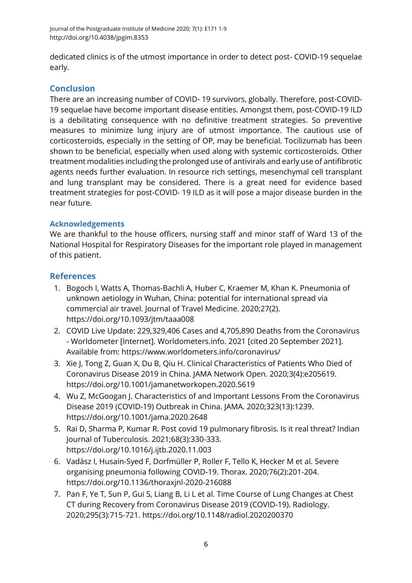dedicated clinics is of the utmost importance in order to detect post- COVID-19 sequelae early.

## **Conclusion**

There are an increasing number of COVID- 19 survivors, globally. Therefore, post-COVID-19 sequelae have become important disease entities. Amongst them, post-COVID-19 ILD is a debilitating consequence with no definitive treatment strategies. So preventive measures to minimize lung injury are of utmost importance. The cautious use of corticosteroids, especially in the setting of OP, may be beneficial. Tocilizumab has been shown to be beneficial, especially when used along with systemic corticosteroids. Other treatment modalities including the prolonged use of antivirals and early use of antifibrotic agents needs further evaluation. In resource rich settings, mesenchymal cell transplant and lung transplant may be considered. There is a great need for evidence based treatment strategies for post-COVID- 19 ILD as it will pose a major disease burden in the near future.

## **Acknowledgements**

We are thankful to the house officers, nursing staff and minor staff of Ward 13 of the National Hospital for Respiratory Diseases for the important role played in management of this patient.

## **References**

- <span id="page-5-0"></span>1. Bogoch I, Watts A, Thomas-Bachli A, Huber C, Kraemer M, Khan K. Pneumonia of unknown aetiology in Wuhan, China: potential for international spread via commercial air travel. Journal of Travel Medicine. 2020;27(2). <https://doi.org/10.1093/jtm/taaa008>
- <span id="page-5-1"></span>2. COVID Live Update: 229,329,406 Cases and 4,705,890 Deaths from the Coronavirus - Worldometer [Internet]. Worldometers.info. 2021 [cited 20 September 2021]. Available from:<https://www.worldometers.info/coronavirus/>
- <span id="page-5-2"></span>3. Xie J, Tong Z, Guan X, Du B, Qiu H. Clinical Characteristics of Patients Who Died of Coronavirus Disease 2019 in China. JAMA Network Open. 2020;3(4):e205619. <https://doi.org/10.1001/jamanetworkopen.2020.5619>
- <span id="page-5-3"></span>4. Wu Z, McGoogan J. Characteristics of and Important Lessons From the Coronavirus Disease 2019 (COVID-19) Outbreak in China. JAMA. 2020;323(13):1239. <https://doi.org/10.1001/jama.2020.2648>
- <span id="page-5-4"></span>5. Rai D, Sharma P, Kumar R. Post covid 19 pulmonary fibrosis. Is it real threat? Indian Journal of Tuberculosis. 2021;68(3):330-333. <https://doi.org/10.1016/j.ijtb.2020.11.003>
- <span id="page-5-5"></span>6. Vadász I, Husain-Syed F, Dorfmüller P, Roller F, Tello K, Hecker M et al. Severe organising pneumonia following COVID-19. Thorax. 2020;76(2):201-204. <https://doi.org/10.1136/thoraxjnl-2020-216088>
- <span id="page-5-6"></span>7. Pan F, Ye T, Sun P, Gui S, Liang B, Li L et al. Time Course of Lung Changes at Chest CT during Recovery from Coronavirus Disease 2019 (COVID-19). Radiology. 2020;295(3):715-721. <https://doi.org/10.1148/radiol.2020200370>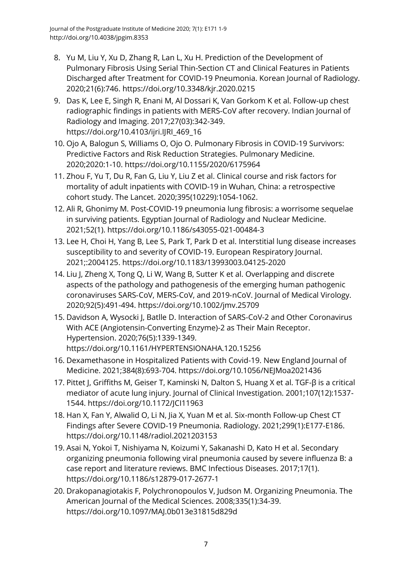- <span id="page-6-0"></span>8. Yu M, Liu Y, Xu D, Zhang R, Lan L, Xu H. Prediction of the Development of Pulmonary Fibrosis Using Serial Thin-Section CT and Clinical Features in Patients Discharged after Treatment for COVID-19 Pneumonia. Korean Journal of Radiology. 2020;21(6):746. <https://doi.org/10.3348/kjr.2020.0215>
- <span id="page-6-1"></span>9. Das K, Lee E, Singh R, Enani M, Al Dossari K, Van Gorkom K et al. Follow-up chest radiographic findings in patients with MERS-CoV after recovery. Indian Journal of Radiology and Imaging. 2017;27(03):342-349. [https://doi.org/10.4103/ijri.IJRI\\_469\\_16](https://doi.org/10.4103/ijri.IJRI_469_16)
- <span id="page-6-2"></span>10. Ojo A, Balogun S, Williams O, Ojo O. Pulmonary Fibrosis in COVID-19 Survivors: Predictive Factors and Risk Reduction Strategies. Pulmonary Medicine. 2020;2020:1-10. <https://doi.org/10.1155/2020/6175964>
- <span id="page-6-3"></span>11. Zhou F, Yu T, Du R, Fan G, Liu Y, Liu Z et al. Clinical course and risk factors for mortality of adult inpatients with COVID-19 in Wuhan, China: a retrospective cohort study. The Lancet. 2020;395(10229):1054-1062.
- <span id="page-6-4"></span>12. Ali R, Ghonimy M. Post-COVID-19 pneumonia lung fibrosis: a worrisome sequelae in surviving patients. Egyptian Journal of Radiology and Nuclear Medicine. 2021;52(1). <https://doi.org/10.1186/s43055-021-00484-3>
- <span id="page-6-5"></span>13. Lee H, Choi H, Yang B, Lee S, Park T, Park D et al. Interstitial lung disease increases susceptibility to and severity of COVID-19. European Respiratory Journal. 2021;:2004125. <https://doi.org/10.1183/13993003.04125-2020>
- <span id="page-6-6"></span>14. Liu J, Zheng X, Tong Q, Li W, Wang B, Sutter K et al. Overlapping and discrete aspects of the pathology and pathogenesis of the emerging human pathogenic coronaviruses SARS‐CoV, MERS‐CoV, and 2019‐nCoV. Journal of Medical Virology. 2020;92(5):491-494. <https://doi.org/10.1002/jmv.25709>
- <span id="page-6-7"></span>15. Davidson A, Wysocki J, Batlle D. Interaction of SARS-CoV-2 and Other Coronavirus With ACE (Angiotensin-Converting Enzyme)-2 as Their Main Receptor. Hypertension. 2020;76(5):1339-1349. <https://doi.org/10.1161/HYPERTENSIONAHA.120.15256>
- <span id="page-6-8"></span>16. Dexamethasone in Hospitalized Patients with Covid-19. New England Journal of Medicine. 2021;384(8):693-704. <https://doi.org/10.1056/NEJMoa2021436>
- <span id="page-6-9"></span>17. Pittet I, Griffiths M, Geiser T, Kaminski N, Dalton S, Huang X et al. TGF-β is a critical mediator of acute lung injury. Journal of Clinical Investigation. 2001;107(12):1537- 1544. <https://doi.org/10.1172/JCI11963>
- <span id="page-6-10"></span>18. Han X, Fan Y, Alwalid O, Li N, Jia X, Yuan M et al. Six-month Follow-up Chest CT Findings after Severe COVID-19 Pneumonia. Radiology. 2021;299(1):E177-E186. <https://doi.org/10.1148/radiol.2021203153>
- <span id="page-6-11"></span>19. Asai N, Yokoi T, Nishiyama N, Koizumi Y, Sakanashi D, Kato H et al. Secondary organizing pneumonia following viral pneumonia caused by severe influenza B: a case report and literature reviews. BMC Infectious Diseases. 2017;17(1). <https://doi.org/10.1186/s12879-017-2677-1>
- <span id="page-6-12"></span>20. Drakopanagiotakis F, Polychronopoulos V, Judson M. Organizing Pneumonia. The American Journal of the Medical Sciences. 2008;335(1):34-39. <https://doi.org/10.1097/MAJ.0b013e31815d829d>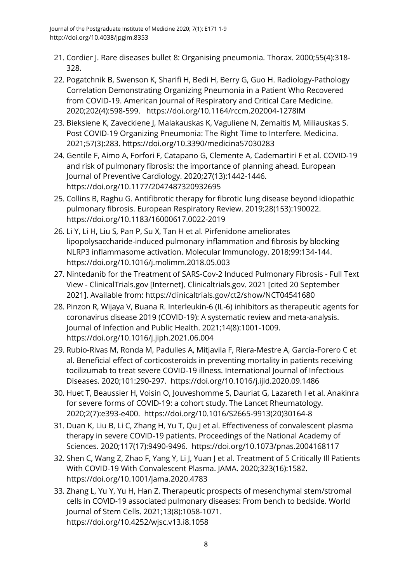- <span id="page-7-0"></span>21. Cordier J. Rare diseases bullet 8: Organising pneumonia. Thorax. 2000;55(4):318- 328.
- <span id="page-7-1"></span>22. Pogatchnik B, Swenson K, Sharifi H, Bedi H, Berry G, Guo H. Radiology-Pathology Correlation Demonstrating Organizing Pneumonia in a Patient Who Recovered from COVID-19. American Journal of Respiratory and Critical Care Medicine. 2020;202(4):598-599. <https://doi.org/10.1164/rccm.202004-1278IM>
- <span id="page-7-2"></span>23. Bieksiene K, Zaveckiene J, Malakauskas K, Vaguliene N, Zemaitis M, Miliauskas S. Post COVID-19 Organizing Pneumonia: The Right Time to Interfere. Medicina. 2021;57(3):283. <https://doi.org/10.3390/medicina57030283>
- <span id="page-7-3"></span>24. Gentile F, Aimo A, Forfori F, Catapano G, Clemente A, Cademartiri F et al. COVID-19 and risk of pulmonary fibrosis: the importance of planning ahead. European Journal of Preventive Cardiology. 2020;27(13):1442-1446. <https://doi.org/10.1177/2047487320932695>
- <span id="page-7-4"></span>25. Collins B, Raghu G. Antifibrotic therapy for fibrotic lung disease beyond idiopathic pulmonary fibrosis. European Respiratory Review. 2019;28(153):190022. <https://doi.org/10.1183/16000617.0022-2019>
- <span id="page-7-5"></span>26. Li Y, Li H, Liu S, Pan P, Su X, Tan H et al. Pirfenidone ameliorates lipopolysaccharide-induced pulmonary inflammation and fibrosis by blocking NLRP3 inflammasome activation. Molecular Immunology. 2018;99:134-144. <https://doi.org/10.1016/j.molimm.2018.05.003>
- <span id="page-7-6"></span>27. Nintedanib for the Treatment of SARS-Cov-2 Induced Pulmonary Fibrosis - Full Text View - ClinicalTrials.gov [Internet]. Clinicaltrials.gov. 2021 [cited 20 September 2021]. Available from: https://clinicaltrials.gov/ct2/show/NCT04541680
- <span id="page-7-7"></span>28. Pinzon R, Wijaya V, Buana R. Interleukin-6 (IL-6) inhibitors as therapeutic agents for coronavirus disease 2019 (COVID-19): A systematic review and meta-analysis. Journal of Infection and Public Health. 2021;14(8):1001-1009. <https://doi.org/10.1016/j.jiph.2021.06.004>
- <span id="page-7-8"></span>29. Rubio-Rivas M, Ronda M, Padulles A, Mitjavila F, Riera-Mestre A, García-Forero C et al. Beneficial effect of corticosteroids in preventing mortality in patients receiving tocilizumab to treat severe COVID-19 illness. International Journal of Infectious Diseases. 2020;101:290-297. <https://doi.org/10.1016/j.ijid.2020.09.1486>
- <span id="page-7-9"></span>30. Huet T, Beaussier H, Voisin O, Jouveshomme S, Dauriat G, Lazareth I et al. Anakinra for severe forms of COVID-19: a cohort study. The Lancet Rheumatology. 2020;2(7):e393-e400. [https://doi.org/10.1016/S2665-9913\(20\)30164-8](https://doi.org/10.1016/S2665-9913(20)30164-8)
- <span id="page-7-10"></span>31. Duan K, Liu B, Li C, Zhang H, Yu T, Qu J et al. Effectiveness of convalescent plasma therapy in severe COVID-19 patients. Proceedings of the National Academy of Sciences. 2020;117(17):9490-9496. <https://doi.org/10.1073/pnas.2004168117>
- <span id="page-7-11"></span>32. Shen C, Wang Z, Zhao F, Yang Y, Li J, Yuan J et al. Treatment of 5 Critically Ill Patients With COVID-19 With Convalescent Plasma. JAMA. 2020;323(16):1582. <https://doi.org/10.1001/jama.2020.4783>
- <span id="page-7-12"></span>33. Zhang L, Yu Y, Yu H, Han Z. Therapeutic prospects of mesenchymal stem/stromal cells in COVID-19 associated pulmonary diseases: From bench to bedside. World Journal of Stem Cells. 2021;13(8):1058-1071. <https://doi.org/10.4252/wjsc.v13.i8.1058>